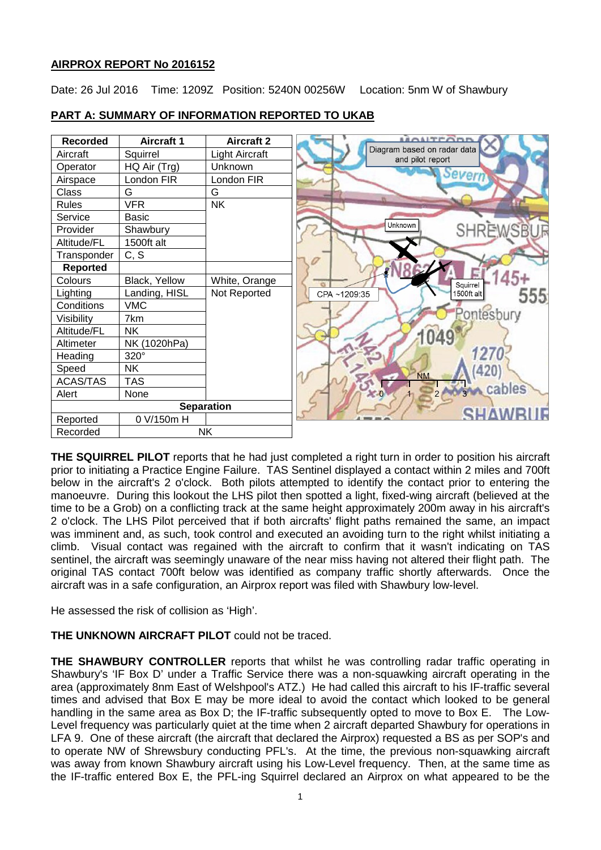# **AIRPROX REPORT No 2016152**

Date: 26 Jul 2016 Time: 1209Z Position: 5240N 00256W Location: 5nm W of Shawbury



# **PART A: SUMMARY OF INFORMATION REPORTED TO UKAB**

**THE SQUIRREL PILOT** reports that he had just completed a right turn in order to position his aircraft prior to initiating a Practice Engine Failure. TAS Sentinel displayed a contact within 2 miles and 700ft below in the aircraft's 2 o'clock. Both pilots attempted to identify the contact prior to entering the manoeuvre. During this lookout the LHS pilot then spotted a light, fixed-wing aircraft (believed at the time to be a Grob) on a conflicting track at the same height approximately 200m away in his aircraft's 2 o'clock. The LHS Pilot perceived that if both aircrafts' flight paths remained the same, an impact was imminent and, as such, took control and executed an avoiding turn to the right whilst initiating a climb. Visual contact was regained with the aircraft to confirm that it wasn't indicating on TAS sentinel, the aircraft was seemingly unaware of the near miss having not altered their flight path. The original TAS contact 700ft below was identified as company traffic shortly afterwards. Once the aircraft was in a safe configuration, an Airprox report was filed with Shawbury low-level.

He assessed the risk of collision as 'High'.

# **THE UNKNOWN AIRCRAFT PILOT** could not be traced.

**THE SHAWBURY CONTROLLER** reports that whilst he was controlling radar traffic operating in Shawbury's 'IF Box D' under a Traffic Service there was a non-squawking aircraft operating in the area (approximately 8nm East of Welshpool's ATZ.) He had called this aircraft to his IF-traffic several times and advised that Box E may be more ideal to avoid the contact which looked to be general handling in the same area as Box D; the IF-traffic subsequently opted to move to Box E. The Low-Level frequency was particularly quiet at the time when 2 aircraft departed Shawbury for operations in LFA 9. One of these aircraft (the aircraft that declared the Airprox) requested a BS as per SOP's and to operate NW of Shrewsbury conducting PFL's. At the time, the previous non-squawking aircraft was away from known Shawbury aircraft using his Low-Level frequency. Then, at the same time as the IF-traffic entered Box E, the PFL-ing Squirrel declared an Airprox on what appeared to be the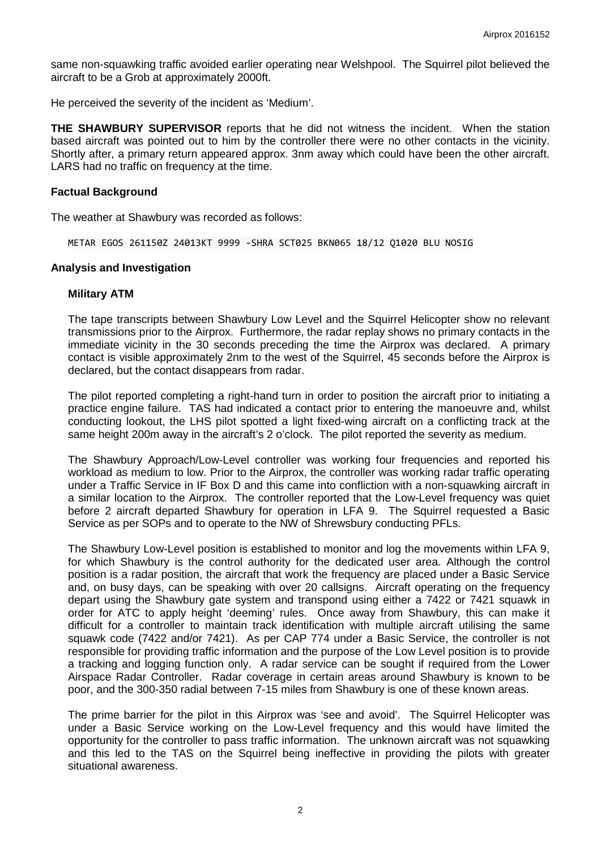same non-squawking traffic avoided earlier operating near Welshpool. The Squirrel pilot believed the aircraft to be a Grob at approximately 2000ft.

He perceived the severity of the incident as 'Medium'.

**THE SHAWBURY SUPERVISOR** reports that he did not witness the incident. When the station based aircraft was pointed out to him by the controller there were no other contacts in the vicinity. Shortly after, a primary return appeared approx. 3nm away which could have been the other aircraft. LARS had no traffic on frequency at the time.

#### **Factual Background**

The weather at Shawbury was recorded as follows:

METAR EGOS 261150Z 24013KT 9999 -SHRA SCT025 BKN065 18/12 Q1020 BLU NOSIG

#### **Analysis and Investigation**

### **Military ATM**

The tape transcripts between Shawbury Low Level and the Squirrel Helicopter show no relevant transmissions prior to the Airprox. Furthermore, the radar replay shows no primary contacts in the immediate vicinity in the 30 seconds preceding the time the Airprox was declared. A primary contact is visible approximately 2nm to the west of the Squirrel, 45 seconds before the Airprox is declared, but the contact disappears from radar.

The pilot reported completing a right-hand turn in order to position the aircraft prior to initiating a practice engine failure. TAS had indicated a contact prior to entering the manoeuvre and, whilst conducting lookout, the LHS pilot spotted a light fixed-wing aircraft on a conflicting track at the same height 200m away in the aircraft's 2 o'clock. The pilot reported the severity as medium.

The Shawbury Approach/Low-Level controller was working four frequencies and reported his workload as medium to low. Prior to the Airprox, the controller was working radar traffic operating under a Traffic Service in IF Box D and this came into confliction with a non-squawking aircraft in a similar location to the Airprox. The controller reported that the Low-Level frequency was quiet before 2 aircraft departed Shawbury for operation in LFA 9. The Squirrel requested a Basic Service as per SOPs and to operate to the NW of Shrewsbury conducting PFLs.

The Shawbury Low-Level position is established to monitor and log the movements within LFA 9, for which Shawbury is the control authority for the dedicated user area. Although the control position is a radar position, the aircraft that work the frequency are placed under a Basic Service and, on busy days, can be speaking with over 20 callsigns. Aircraft operating on the frequency depart using the Shawbury gate system and transpond using either a 7422 or 7421 squawk in order for ATC to apply height 'deeming' rules. Once away from Shawbury, this can make it difficult for a controller to maintain track identification with multiple aircraft utilising the same squawk code (7422 and/or 7421). As per CAP 774 under a Basic Service, the controller is not responsible for providing traffic information and the purpose of the Low Level position is to provide a tracking and logging function only. A radar service can be sought if required from the Lower Airspace Radar Controller. Radar coverage in certain areas around Shawbury is known to be poor, and the 300-350 radial between 7-15 miles from Shawbury is one of these known areas.

The prime barrier for the pilot in this Airprox was 'see and avoid'. The Squirrel Helicopter was under a Basic Service working on the Low-Level frequency and this would have limited the opportunity for the controller to pass traffic information. The unknown aircraft was not squawking and this led to the TAS on the Squirrel being ineffective in providing the pilots with greater situational awareness.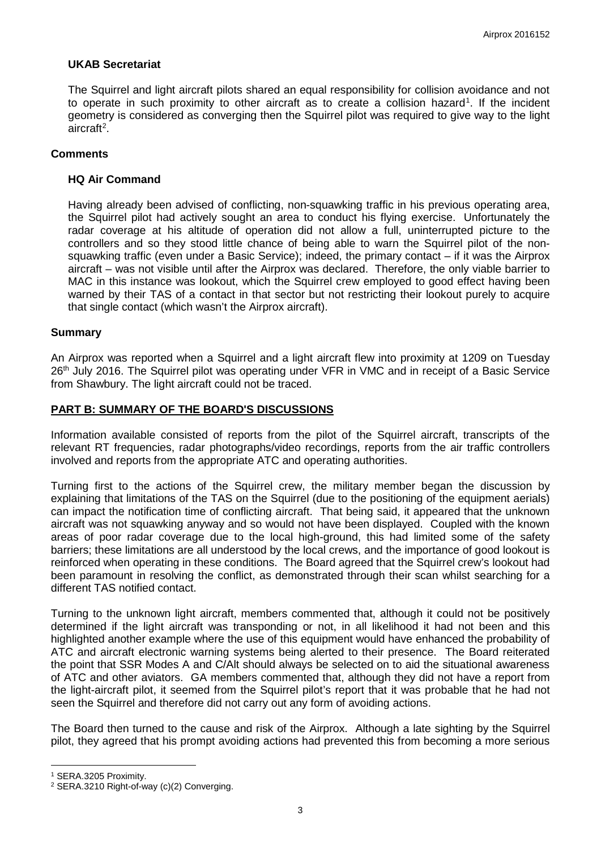## **UKAB Secretariat**

The Squirrel and light aircraft pilots shared an equal responsibility for collision avoidance and not to operate in such proximity to other aircraft as to create a collision hazard<sup>[1](#page-2-0)</sup>. If the incident geometry is considered as converging then the Squirrel pilot was required to give way to the light aircraft<sup>[2](#page-2-1)</sup>.

## **Comments**

## **HQ Air Command**

Having already been advised of conflicting, non-squawking traffic in his previous operating area, the Squirrel pilot had actively sought an area to conduct his flying exercise. Unfortunately the radar coverage at his altitude of operation did not allow a full, uninterrupted picture to the controllers and so they stood little chance of being able to warn the Squirrel pilot of the nonsquawking traffic (even under a Basic Service); indeed, the primary contact – if it was the Airprox aircraft – was not visible until after the Airprox was declared. Therefore, the only viable barrier to MAC in this instance was lookout, which the Squirrel crew employed to good effect having been warned by their TAS of a contact in that sector but not restricting their lookout purely to acquire that single contact (which wasn't the Airprox aircraft).

### **Summary**

An Airprox was reported when a Squirrel and a light aircraft flew into proximity at 1209 on Tuesday 26<sup>th</sup> July 2016. The Squirrel pilot was operating under VFR in VMC and in receipt of a Basic Service from Shawbury. The light aircraft could not be traced.

### **PART B: SUMMARY OF THE BOARD'S DISCUSSIONS**

Information available consisted of reports from the pilot of the Squirrel aircraft, transcripts of the relevant RT frequencies, radar photographs/video recordings, reports from the air traffic controllers involved and reports from the appropriate ATC and operating authorities.

Turning first to the actions of the Squirrel crew, the military member began the discussion by explaining that limitations of the TAS on the Squirrel (due to the positioning of the equipment aerials) can impact the notification time of conflicting aircraft. That being said, it appeared that the unknown aircraft was not squawking anyway and so would not have been displayed. Coupled with the known areas of poor radar coverage due to the local high-ground, this had limited some of the safety barriers; these limitations are all understood by the local crews, and the importance of good lookout is reinforced when operating in these conditions. The Board agreed that the Squirrel crew's lookout had been paramount in resolving the conflict, as demonstrated through their scan whilst searching for a different TAS notified contact.

Turning to the unknown light aircraft, members commented that, although it could not be positively determined if the light aircraft was transponding or not, in all likelihood it had not been and this highlighted another example where the use of this equipment would have enhanced the probability of ATC and aircraft electronic warning systems being alerted to their presence. The Board reiterated the point that SSR Modes A and C/Alt should always be selected on to aid the situational awareness of ATC and other aviators. GA members commented that, although they did not have a report from the light-aircraft pilot, it seemed from the Squirrel pilot's report that it was probable that he had not seen the Squirrel and therefore did not carry out any form of avoiding actions.

The Board then turned to the cause and risk of the Airprox. Although a late sighting by the Squirrel pilot, they agreed that his prompt avoiding actions had prevented this from becoming a more serious

l

<span id="page-2-0"></span><sup>1</sup> SERA.3205 Proximity.

<span id="page-2-1"></span><sup>2</sup> SERA.3210 Right-of-way (c)(2) Converging.